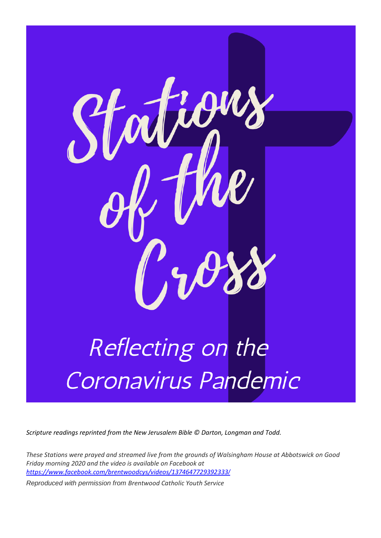

*Scripture readings reprinted from the New Jerusalem Bible © Darton, Longman and Todd.* 

*These Stations were prayed and streamed live from the grounds of Walsingham House at Abbotswick on Good Friday morning 2020 and the video is available on Facebook at [https://www.facebook.com/brentwoodcys/videos/1374647729392333](https://www.facebook.com/brentwoodcys/videos/1374647729392333/)[/](https://www.facebook.com/brentwoodcys/videos/1374647729392333/)*

*Reproduced with permission from Brentwood Catholic Youth Service*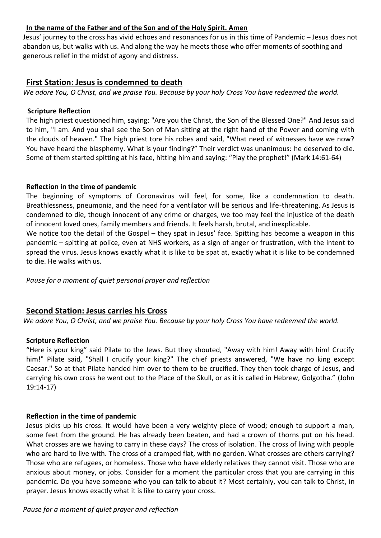## **In the name of the Father and of the Son and of the Holy Spirit. Amen**

Jesus' journey to the cross has vivid echoes and resonances for us in this time of Pandemic – Jesus does not abandon us, but walks with us. And along the way he meets those who offer moments of soothing and generous relief in the midst of agony and distress.

## **First Station: Jesus is condemned to death**

*We adore You, O Christ, and we praise You. Because by your holy Cross You have redeemed the world.*

### **Scripture Reflection**

The high priest questioned him, saying: "Are you the Christ, the Son of the Blessed One?" And Jesus said to him, "I am. And you shall see the Son of Man sitting at the right hand of the Power and coming with the clouds of heaven." The high priest tore his robes and said, "What need of witnesses have we now? You have heard the blasphemy. What is your finding?" Their verdict was unanimous: he deserved to die. Some of them started spitting at his face, hitting him and saying: "Play the prophet!" (Mark 14:61-64)

### **Reflection in the time of pandemic**

The beginning of symptoms of Coronavirus will feel, for some, like a condemnation to death. Breathlessness, pneumonia, and the need for a ventilator will be serious and life-threatening. As Jesus is condemned to die, though innocent of any crime or charges, we too may feel the injustice of the death of innocent loved ones, family members and friends. It feels harsh, brutal, and inexplicable.

We notice too the detail of the Gospel – they spat in Jesus' face. Spitting has become a weapon in this pandemic – spitting at police, even at NHS workers, as a sign of anger or frustration, with the intent to spread the virus. Jesus knows exactly what it is like to be spat at, exactly what it is like to be condemned to die. He walks with us.

*Pause for a moment of quiet personal prayer and reflection*

## **Second Station: Jesus carries his Cross**

*We adore You, O Christ, and we praise You. Because by your holy Cross You have redeemed the world.*

## **Scripture Reflection**

"Here is your king" said Pilate to the Jews. But they shouted, "Away with him! Away with him! Crucify him!" Pilate said, "Shall I crucify your king?" The chief priests answered, "We have no king except Caesar." So at that Pilate handed him over to them to be crucified. They then took charge of Jesus, and carrying his own cross he went out to the Place of the Skull, or as it is called in Hebrew, Golgotha." (John 19:14-17)

#### **Reflection in the time of pandemic**

Jesus picks up his cross. It would have been a very weighty piece of wood; enough to support a man, some feet from the ground. He has already been beaten, and had a crown of thorns put on his head. What crosses are we having to carry in these days? The cross of isolation. The cross of living with people who are hard to live with. The cross of a cramped flat, with no garden. What crosses are others carrying? Those who are refugees, or homeless. Those who have elderly relatives they cannot visit. Those who are anxious about money, or jobs. Consider for a moment the particular cross that you are carrying in this pandemic. Do you have someone who you can talk to about it? Most certainly, you can talk to Christ, in prayer. Jesus knows exactly what it is like to carry your cross.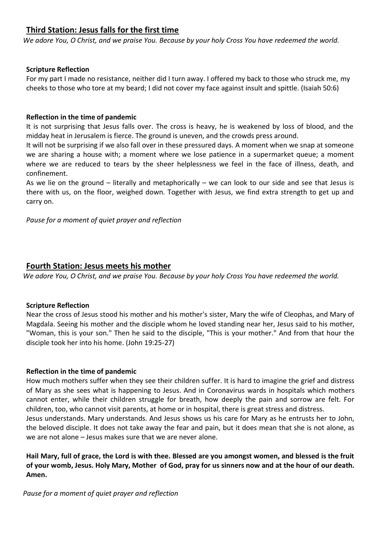# **Third Station: Jesus falls for the first time**

*We adore You, O Christ, and we praise You. Because by your holy Cross You have redeemed the world.*

## **Scripture Reflection**

For my part I made no resistance, neither did I turn away. I offered my back to those who struck me, my cheeks to those who tore at my beard; I did not cover my face against insult and spittle. (Isaiah 50:6)

## **Reflection in the time of pandemic**

It is not surprising that Jesus falls over. The cross is heavy, he is weakened by loss of blood, and the midday heat in Jerusalem is fierce. The ground is uneven, and the crowds press around.

It will not be surprising if we also fall over in these pressured days. A moment when we snap at someone we are sharing a house with; a moment where we lose patience in a supermarket queue; a moment where we are reduced to tears by the sheer helplessness we feel in the face of illness, death, and confinement.

As we lie on the ground – literally and metaphorically – we can look to our side and see that Jesus is there with us, on the floor, weighed down. Together with Jesus, we find extra strength to get up and carry on.

### *Pause for a moment of quiet prayer and reflection*

## **Fourth Station: Jesus meets his mother**

*We adore You, O Christ, and we praise You. Because by your holy Cross You have redeemed the world.*

#### **Scripture Reflection**

Near the cross of Jesus stood his mother and his mother's sister, Mary the wife of Cleophas, and Mary of Magdala. Seeing his mother and the disciple whom he loved standing near her, Jesus said to his mother, "Woman, this is your son." Then he said to the disciple, "This is your mother." And from that hour the disciple took her into his home. (John 19:25-27)

#### **Reflection in the time of pandemic**

How much mothers suffer when they see their children suffer. It is hard to imagine the grief and distress of Mary as she sees what is happening to Jesus. And in Coronavirus wards in hospitals which mothers cannot enter, while their children struggle for breath, how deeply the pain and sorrow are felt. For children, too, who cannot visit parents, at home or in hospital, there is great stress and distress. Jesus understands. Mary understands. And Jesus shows us his care for Mary as he entrusts her to John, the beloved disciple. It does not take away the fear and pain, but it does mean that she is not alone, as

we are not alone – Jesus makes sure that we are never alone.

**Hail Mary, full of grace, the Lord is with thee. Blessed are you amongst women, and blessed is the fruit of your womb, Jesus. Holy Mary, Mother of God, pray for us sinners now and at the hour of our death. Amen.**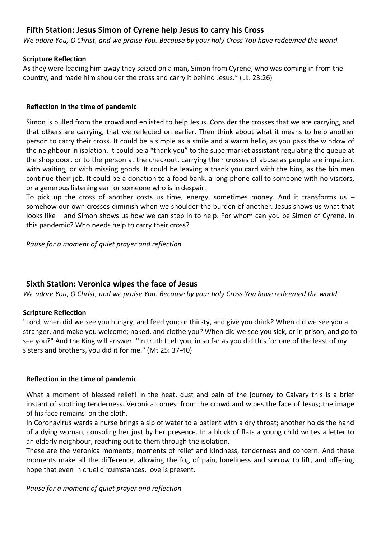# **Fifth Station: Jesus Simon of Cyrene help Jesus to carry his Cross**

*We adore You, O Christ, and we praise You. Because by your holy Cross You have redeemed the world.*

### **Scripture Reflection**

As they were leading him away they seized on a man, Simon from Cyrene, who was coming in from the country, and made him shoulder the cross and carry it behind Jesus." (Lk. 23:26)

## **Reflection in the time of pandemic**

Simon is pulled from the crowd and enlisted to help Jesus. Consider the crosses that we are carrying, and that others are carrying, that we reflected on earlier. Then think about what it means to help another person to carry their cross. It could be a simple as a smile and a warm hello, as you pass the window of the neighbour in isolation. It could be a "thank you" to the supermarket assistant regulating the queue at the shop door, or to the person at the checkout, carrying their crosses of abuse as people are impatient with waiting, or with missing goods. It could be leaving a thank you card with the bins, as the bin men continue their job. It could be a donation to a food bank, a long phone call to someone with no visitors, or a generous listening ear for someone who is in despair.

To pick up the cross of another costs us time, energy, sometimes money. And it transforms us  $$ somehow our own crosses diminish when we shoulder the burden of another. Jesus shows us what that looks like – and Simon shows us how we can step in to help. For whom can you be Simon of Cyrene, in this pandemic? Who needs help to carry their cross?

*Pause for a moment of quiet prayer and reflection*

## **Sixth Station: Veronica wipes the face of Jesus**

*We adore You, O Christ, and we praise You. Because by your holy Cross You have redeemed the world.*

## **Scripture Reflection**

"Lord, when did we see you hungry, and feed you; or thirsty, and give you drink? When did we see you a stranger, and make you welcome; naked, and clothe you? When did we see you sick, or in prison, and go to see you?" And the King will answer, ''In truth I tell you, in so far as you did this for one of the least of my sisters and brothers, you did it for me." (Mt 25: 37-40)

## **Reflection in the time of pandemic**

What a moment of blessed relief! In the heat, dust and pain of the journey to Calvary this is a brief instant of soothing tenderness. Veronica comes from the crowd and wipes the face of Jesus; the image of his face remains on the cloth.

In Coronavirus wards a nurse brings a sip of water to a patient with a dry throat; another holds the hand of a dying woman, consoling her just by her presence. In a block of flats a young child writes a letter to an elderly neighbour, reaching out to them through the isolation.

These are the Veronica moments; moments of relief and kindness, tenderness and concern. And these moments make all the difference, allowing the fog of pain, loneliness and sorrow to lift, and offering hope that even in cruel circumstances, love is present.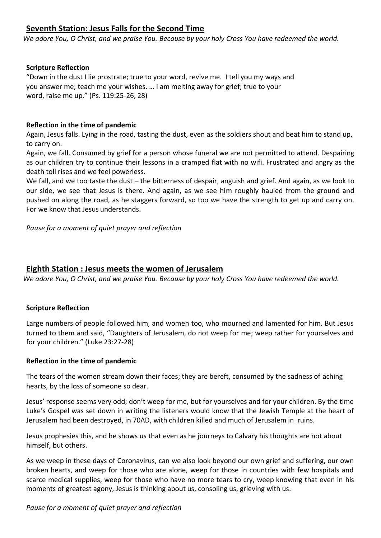# **Seventh Station: Jesus Falls for the Second Time**

*We adore You, O Christ, and we praise You. Because by your holy Cross You have redeemed the world.*

## **Scripture Reflection**

"Down in the dust I lie prostrate; true to your word, revive me. I tell you my ways and you answer me; teach me your wishes. … I am melting away for grief; true to your word, raise me up." (Ps. 119:25-26, 28)

### **Reflection in the time of pandemic**

Again, Jesus falls. Lying in the road, tasting the dust, even as the soldiers shout and beat him to stand up, to carry on.

Again, we fall. Consumed by grief for a person whose funeral we are not permitted to attend. Despairing as our children try to continue their lessons in a cramped flat with no wifi. Frustrated and angry as the death toll rises and we feel powerless.

We fall, and we too taste the dust – the bitterness of despair, anguish and grief. And again, as we look to our side, we see that Jesus is there. And again, as we see him roughly hauled from the ground and pushed on along the road, as he staggers forward, so too we have the strength to get up and carry on. For we know that Jesus understands.

*Pause for a moment of quiet prayer and reflection*

## **Eighth Station : Jesus meets the women of Jerusalem**

*We adore You, O Christ, and we praise You. Because by your holy Cross You have redeemed the world.*

#### **Scripture Reflection**

Large numbers of people followed him, and women too, who mourned and lamented for him. But Jesus turned to them and said, "Daughters of Jerusalem, do not weep for me; weep rather for yourselves and for your children." (Luke 23:27-28)

#### **Reflection in the time of pandemic**

The tears of the women stream down their faces; they are bereft, consumed by the sadness of aching hearts, by the loss of someone so dear.

Jesus' response seems very odd; don't weep for me, but for yourselves and for your children. By the time Luke's Gospel was set down in writing the listeners would know that the Jewish Temple at the heart of Jerusalem had been destroyed, in 70AD, with children killed and much of Jerusalem in ruins.

Jesus prophesies this, and he shows us that even as he journeys to Calvary his thoughts are not about himself, but others.

As we weep in these days of Coronavirus, can we also look beyond our own grief and suffering, our own broken hearts, and weep for those who are alone, weep for those in countries with few hospitals and scarce medical supplies, weep for those who have no more tears to cry, weep knowing that even in his moments of greatest agony, Jesus is thinking about us, consoling us, grieving with us.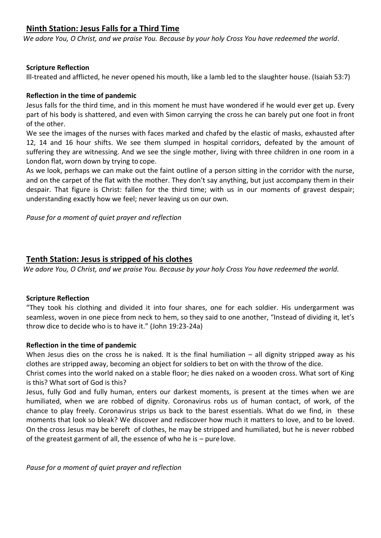# **Ninth Station: Jesus Falls for a Third Time**

*We adore You, O Christ, and we praise You. Because by your holy Cross You have redeemed the world*.

## **Scripture Reflection**

Ill-treated and afflicted, he never opened his mouth, like a lamb led to the slaughter house. (Isaiah 53:7)

### **Reflection in the time of pandemic**

Jesus falls for the third time, and in this moment he must have wondered if he would ever get up. Every part of his body is shattered, and even with Simon carrying the cross he can barely put one foot in front of the other.

We see the images of the nurses with faces marked and chafed by the elastic of masks, exhausted after 12, 14 and 16 hour shifts. We see them slumped in hospital corridors, defeated by the amount of suffering they are witnessing. And we see the single mother, living with three children in one room in a London flat, worn down by trying to cope.

As we look, perhaps we can make out the faint outline of a person sitting in the corridor with the nurse, and on the carpet of the flat with the mother. They don't say anything, but just accompany them in their despair. That figure is Christ: fallen for the third time; with us in our moments of gravest despair; understanding exactly how we feel; never leaving us on our own.

*Pause for a moment of quiet prayer and reflection*

## **Tenth Station: Jesus is stripped of his clothes**

*We adore You, O Christ, and we praise You. Because by your holy Cross You have redeemed the world.*

#### **Scripture Reflection**

"They took his clothing and divided it into four shares, one for each soldier. His undergarment was seamless, woven in one piece from neck to hem, so they said to one another, "Instead of dividing it, let's throw dice to decide who is to have it." (John 19:23-24a)

#### **Reflection in the time of pandemic**

When Jesus dies on the cross he is naked. It is the final humiliation – all dignity stripped away as his clothes are stripped away, becoming an object for soldiers to bet on with the throw of the dice.

Christ comes into the world naked on a stable floor; he dies naked on a wooden cross. What sort of King is this? What sort of God is this?

Jesus, fully God and fully human, enters our darkest moments, is present at the times when we are humiliated, when we are robbed of dignity. Coronavirus robs us of human contact, of work, of the chance to play freely. Coronavirus strips us back to the barest essentials. What do we find, in these moments that look so bleak? We discover and rediscover how much it matters to love, and to be loved. On the cross Jesus may be bereft of clothes, he may be stripped and humiliated, but he is never robbed of the greatest garment of all, the essence of who he is – pure love.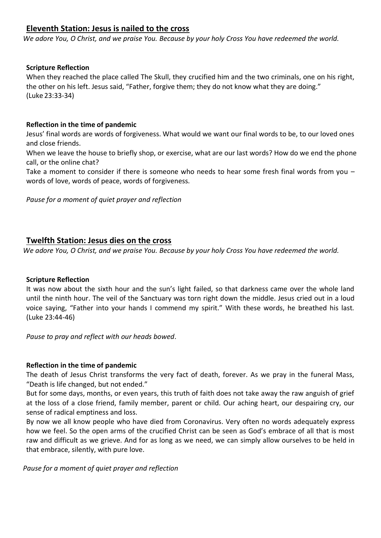# **Eleventh Station: Jesus is nailed to the cross**

*We adore You, O Christ, and we praise You. Because by your holy Cross You have redeemed the world.*

## **Scripture Reflection**

When they reached the place called The Skull, they crucified him and the two criminals, one on his right, the other on his left. Jesus said, "Father, forgive them; they do not know what they are doing." (Luke 23:33-34)

### **Reflection in the time of pandemic**

Jesus' final words are words of forgiveness. What would we want our final words to be, to our loved ones and close friends.

When we leave the house to briefly shop, or exercise, what are our last words? How do we end the phone call, or the online chat?

Take a moment to consider if there is someone who needs to hear some fresh final words from you – words of love, words of peace, words of forgiveness.

*Pause for a moment of quiet prayer and reflection*

## **Twelfth Station: Jesus dies on the cross**

*We adore You, O Christ, and we praise You. Because by your holy Cross You have redeemed the world.*

#### **Scripture Reflection**

It was now about the sixth hour and the sun's light failed, so that darkness came over the whole land until the ninth hour. The veil of the Sanctuary was torn right down the middle. Jesus cried out in a loud voice saying, "Father into your hands I commend my spirit." With these words, he breathed his last. (Luke 23:44-46)

*Pause to pray and reflect with our heads bowed.*

#### **Reflection in the time of pandemic**

The death of Jesus Christ transforms the very fact of death, forever. As we pray in the funeral Mass, "Death is life changed, but not ended."

But for some days, months, or even years, this truth of faith does not take away the raw anguish of grief at the loss of a close friend, family member, parent or child. Our aching heart, our despairing cry, our sense of radical emptiness and loss.

By now we all know people who have died from Coronavirus. Very often no words adequately express how we feel. So the open arms of the crucified Christ can be seen as God's embrace of all that is most raw and difficult as we grieve. And for as long as we need, we can simply allow ourselves to be held in that embrace, silently, with pure love.